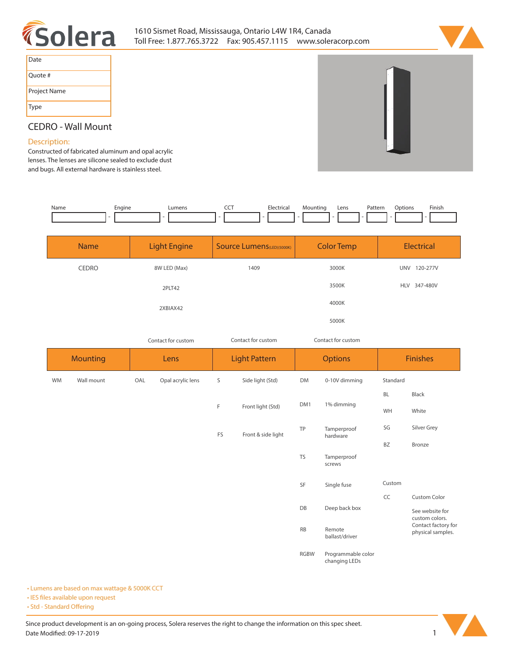



| Date         |
|--------------|
| Quote #      |
| Project Name |
| <b>Type</b>  |

## **CEDRO - Wall Mount**

## **Description:**

**Constructed of fabricated aluminum and opal acrylic lenses. The lenses are silicone sealed to exclude dust and bugs. All external hardware is stainless steel.** 

| Name | Engine | Lumens                   | --- | Electrical | Mountinc | Lens | Pattern | Options | Finish |
|------|--------|--------------------------|-----|------------|----------|------|---------|---------|--------|
|      |        | $\overline{\phantom{a}}$ | .   |            |          |      |         |         |        |

| <b>Name</b>  | <b>Light Engine</b> | <b>Source Lumens</b> (LED)(5000K) | <b>Color Temp</b> | <b>Electrical</b>      |
|--------------|---------------------|-----------------------------------|-------------------|------------------------|
| <b>CEDRO</b> | 8W LED (Max)        | 1409                              | 3000K             | 120-277V<br><b>UNV</b> |
|              | 2PLT42              |                                   | 3500K             | <b>HLV</b><br>347-480V |
|              | 2XBIAX42            |                                   | 4000K             |                        |
|              |                     |                                   | 5000K             |                        |

*Contact for custom Contact for custom*

*Contact for custom*

|           | <b>Mounting</b> |     | Lens              |    | <b>Light Pattern</b> |             | <b>Options</b>                      | <b>Finishes</b> |                                                                               |  |
|-----------|-----------------|-----|-------------------|----|----------------------|-------------|-------------------------------------|-----------------|-------------------------------------------------------------------------------|--|
| <b>WM</b> | Wall mount      | OAL | Opal acrylic lens | S  | Side light (Std)     | DM          | 0-10V dimming                       | Standard        |                                                                               |  |
|           |                 |     |                   |    |                      |             |                                     | <b>BL</b>       | Black                                                                         |  |
|           |                 |     |                   | F  | Front light (Std)    | DM1         | 1% dimming                          | WH              | White                                                                         |  |
|           |                 |     |                   | FS | Front & side light   | TP          | Tamperproof                         | SG              | Silver Grey                                                                   |  |
|           |                 |     |                   |    |                      |             | hardware                            | BZ              | Bronze                                                                        |  |
|           |                 |     |                   |    |                      | <b>TS</b>   | Tamperproof<br>screws               |                 |                                                                               |  |
|           |                 |     |                   |    |                      | SF          | Single fuse                         | Custom          |                                                                               |  |
|           |                 |     |                   |    |                      |             |                                     | CC              | Custom Color                                                                  |  |
|           |                 |     |                   |    |                      | DB          | Deep back box                       |                 | See website for<br>custom colors.<br>Contact factory for<br>physical samples. |  |
|           |                 |     |                   |    |                      | RB          | Remote<br>ballast/driver            |                 |                                                                               |  |
|           |                 |     |                   |    |                      | <b>RGBW</b> | Programmable color<br>changing LEDs |                 |                                                                               |  |

**• Lumens are based on max wattage & 5000K CCT**

**• IES files available upon request** 

• Std - Standard Offering

Since product development is an on-going process, Solera reserves the right to change the information on this spec sheet. **Date Modified: 09-17-2019** 1